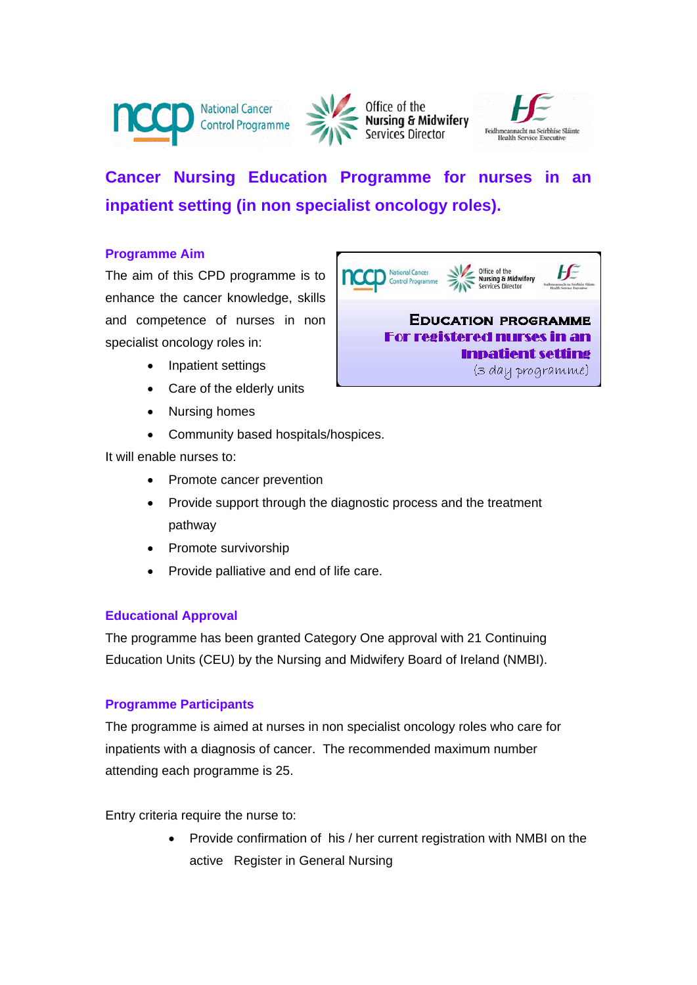





# **Cancer Nursing Education Programme for nurses in an inpatient setting (in non specialist oncology roles).**

# **Programme Aim**

The aim of this CPD programme is to enhance the cancer knowledge, skills and competence of nurses in non specialist oncology roles in:

- Inpatient settings
- Care of the elderly units
- Nursing homes
- Community based hospitals/hospices.

It will enable nurses to:

- Promote cancer prevention
- Provide support through the diagnostic process and the treatment pathway
- Promote survivorship
- Provide palliative and end of life care.

## **Educational Approval**

The programme has been granted Category One approval with 21 Continuing Education Units (CEU) by the Nursing and Midwifery Board of Ireland (NMBI).

## **Programme Participants**

The programme is aimed at nurses in non specialist oncology roles who care for inpatients with a diagnosis of cancer. The recommended maximum number attending each programme is 25.

Entry criteria require the nurse to:

 Provide confirmation of his / her current registration with NMBI on the active Register in General Nursing